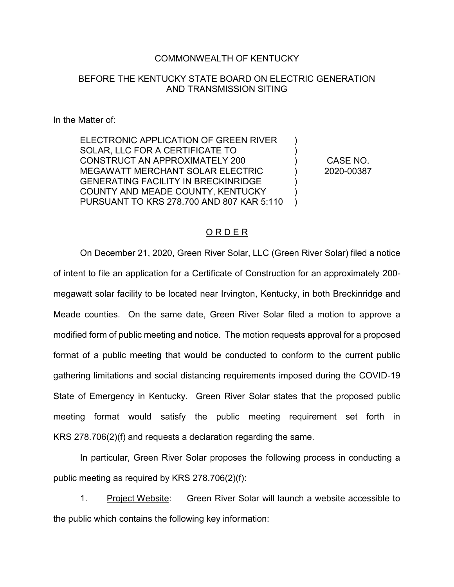#### COMMONWEALTH OF KENTUCKY

### BEFORE THE KENTUCKY STATE BOARD ON ELECTRIC GENERATION AND TRANSMISSION SITING

In the Matter of:

ELECTRONIC APPLICATION OF GREEN RIVER SOLAR, LLC FOR A CERTIFICATE TO CONSTRUCT AN APPROXIMATELY 200 MEGAWATT MERCHANT SOLAR ELECTRIC GENERATING FACILITY IN BRECKINRIDGE COUNTY AND MEADE COUNTY, KENTUCKY PURSUANT TO KRS 278.700 AND 807 KAR 5:110

CASE NO. 2020-00387

 $\lambda$ ) ) ) ) )  $\lambda$ 

#### O R D E R

On December 21, 2020, Green River Solar, LLC (Green River Solar) filed a notice of intent to file an application for a Certificate of Construction for an approximately 200 megawatt solar facility to be located near Irvington, Kentucky, in both Breckinridge and Meade counties. On the same date, Green River Solar filed a motion to approve a modified form of public meeting and notice. The motion requests approval for a proposed format of a public meeting that would be conducted to conform to the current public gathering limitations and social distancing requirements imposed during the COVID-19 State of Emergency in Kentucky. Green River Solar states that the proposed public meeting format would satisfy the public meeting requirement set forth in KRS 278.706(2)(f) and requests a declaration regarding the same.

In particular, Green River Solar proposes the following process in conducting a public meeting as required by KRS 278.706(2)(f):

1. Project Website: Green River Solar will launch a website accessible to the public which contains the following key information: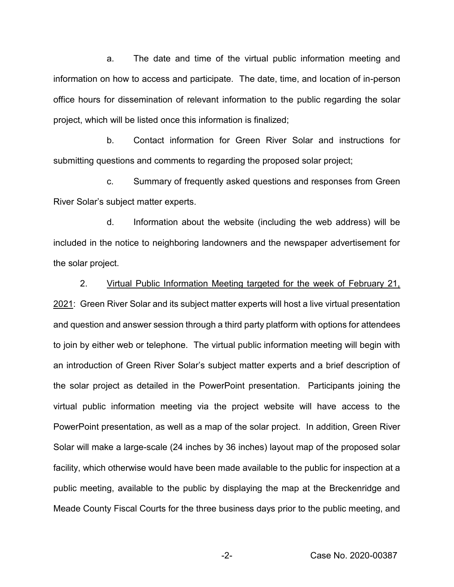a. The date and time of the virtual public information meeting and information on how to access and participate. The date, time, and location of in-person office hours for dissemination of relevant information to the public regarding the solar project, which will be listed once this information is finalized;

b. Contact information for Green River Solar and instructions for submitting questions and comments to regarding the proposed solar project;

c. Summary of frequently asked questions and responses from Green River Solar's subject matter experts.

d. Information about the website (including the web address) will be included in the notice to neighboring landowners and the newspaper advertisement for the solar project.

## 2. Virtual Public Information Meeting targeted for the week of February 21,

2021: Green River Solar and its subject matter experts will host a live virtual presentation and question and answer session through a third party platform with options for attendees to join by either web or telephone. The virtual public information meeting will begin with an introduction of Green River Solar's subject matter experts and a brief description of the solar project as detailed in the PowerPoint presentation. Participants joining the virtual public information meeting via the project website will have access to the PowerPoint presentation, as well as a map of the solar project. In addition, Green River Solar will make a large-scale (24 inches by 36 inches) layout map of the proposed solar facility, which otherwise would have been made available to the public for inspection at a public meeting, available to the public by displaying the map at the Breckenridge and Meade County Fiscal Courts for the three business days prior to the public meeting, and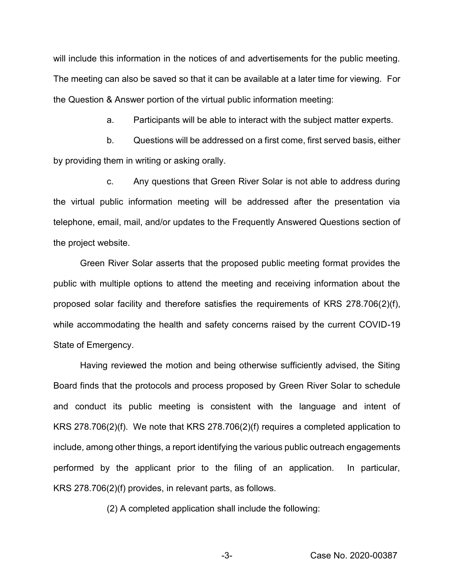will include this information in the notices of and advertisements for the public meeting. The meeting can also be saved so that it can be available at a later time for viewing. For the Question & Answer portion of the virtual public information meeting:

a. Participants will be able to interact with the subject matter experts.

b. Questions will be addressed on a first come, first served basis, either by providing them in writing or asking orally.

c. Any questions that Green River Solar is not able to address during the virtual public information meeting will be addressed after the presentation via telephone, email, mail, and/or updates to the Frequently Answered Questions section of the project website.

Green River Solar asserts that the proposed public meeting format provides the public with multiple options to attend the meeting and receiving information about the proposed solar facility and therefore satisfies the requirements of KRS 278.706(2)(f), while accommodating the health and safety concerns raised by the current COVID-19 State of Emergency.

Having reviewed the motion and being otherwise sufficiently advised, the Siting Board finds that the protocols and process proposed by Green River Solar to schedule and conduct its public meeting is consistent with the language and intent of KRS 278.706(2)(f). We note that KRS 278.706(2)(f) requires a completed application to include, among other things, a report identifying the various public outreach engagements performed by the applicant prior to the filing of an application. In particular, KRS 278.706(2)(f) provides, in relevant parts, as follows.

(2) A completed application shall include the following: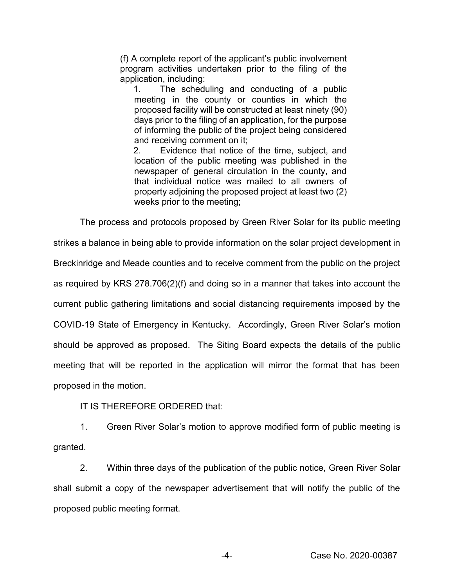(f) A complete report of the applicant's public involvement program activities undertaken prior to the filing of the application, including:

1. The scheduling and conducting of a public meeting in the county or counties in which the proposed facility will be constructed at least ninety (90) days prior to the filing of an application, for the purpose of informing the public of the project being considered and receiving comment on it;

2. Evidence that notice of the time, subject, and location of the public meeting was published in the newspaper of general circulation in the county, and that individual notice was mailed to all owners of property adjoining the proposed project at least two (2) weeks prior to the meeting;

The process and protocols proposed by Green River Solar for its public meeting strikes a balance in being able to provide information on the solar project development in Breckinridge and Meade counties and to receive comment from the public on the project as required by KRS 278.706(2)(f) and doing so in a manner that takes into account the current public gathering limitations and social distancing requirements imposed by the COVID-19 State of Emergency in Kentucky. Accordingly, Green River Solar's motion should be approved as proposed. The Siting Board expects the details of the public meeting that will be reported in the application will mirror the format that has been proposed in the motion.

IT IS THEREFORE ORDERED that:

1. Green River Solar's motion to approve modified form of public meeting is granted.

2. Within three days of the publication of the public notice, Green River Solar shall submit a copy of the newspaper advertisement that will notify the public of the proposed public meeting format.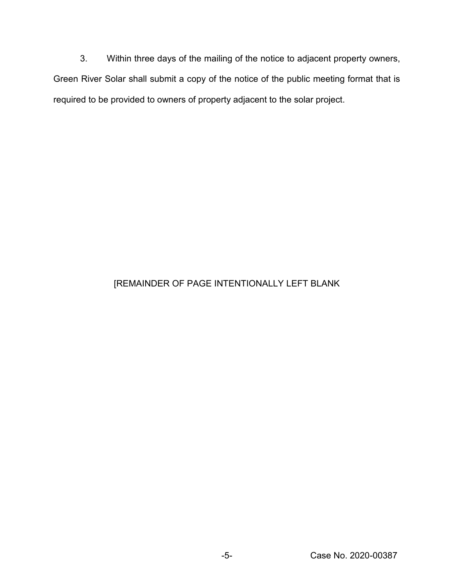3. Within three days of the mailing of the notice to adjacent property owners, Green River Solar shall submit a copy of the notice of the public meeting format that is required to be provided to owners of property adjacent to the solar project.

# [REMAINDER OF PAGE INTENTIONALLY LEFT BLANK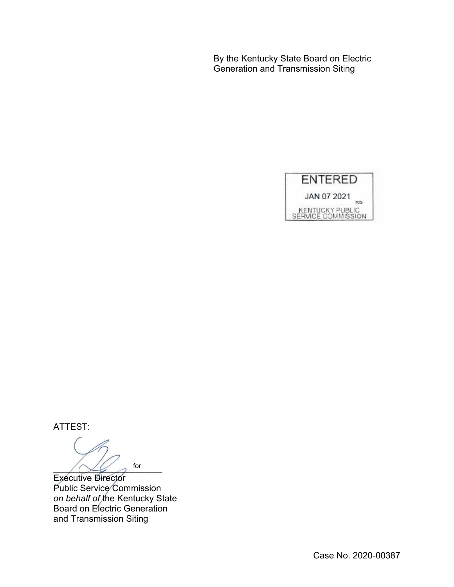By the Kentucky State Board on Electric Generation and Transmission Siting



ATTEST:

 $\bigwedge \bigvee \bigvee$  for for

Executive Director Public Service Commission *on behalf of* the Kentucky State Board on Electric Generation and Transmission Siting